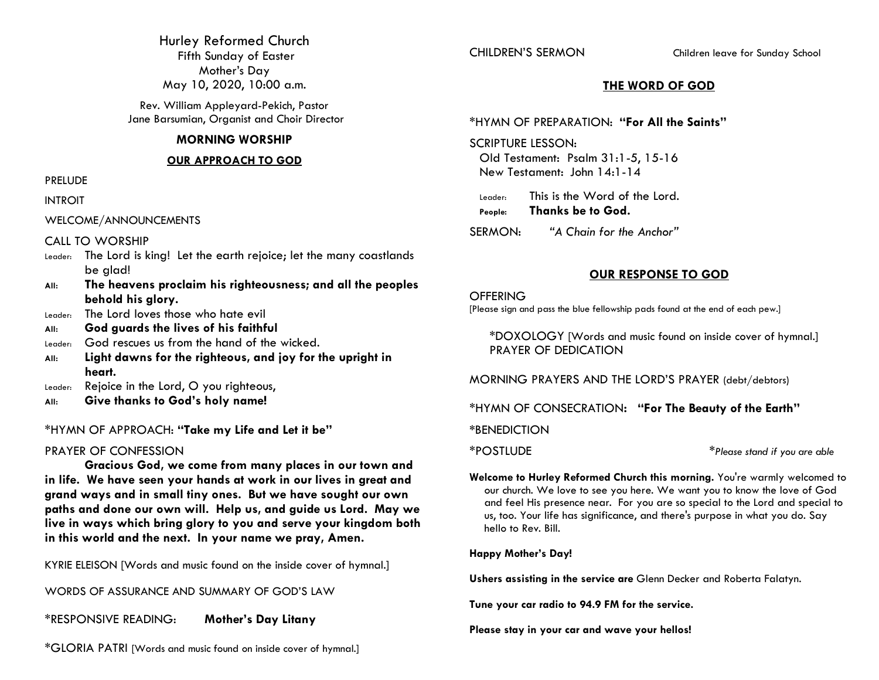Hurley Reformed Church Fifth Sunday of Easter Mother's Day May 10, 2020, 10:00 a.m.

Rev. William Appleyard-Pekich, Pastor Jane Barsumian, Organist and Choir Director

#### **MORNING WORSHIP**

#### **OUR APPROACH TO GOD**

PRELUDE

INTROIT

WELCOME/ANNOUNCEMENTS

### CALL TO WORSHIP

- Leader: The Lord is king! Let the earth rejoice; let the many coastlands be glad!
- **All: The heavens proclaim his righteousness; and all the peoples behold his glory.**
- Leader: The Lord loves those who hate evil
- **All: God guards the lives of his faithful**
- Leader: God rescues us from the hand of the wicked.
- **All: Light dawns for the righteous, and joy for the upright in heart.**
- Leader: Rejoice in the Lord, O you righteous,
- **All: Give thanks to God's holy name!**

### \*HYMN OF APPROACH: **"Take my Life and Let it be"**

### PRAYER OF CONFESSION

**Gracious God, we come from many places in our town and in life. We have seen your hands at work in our lives in great and grand ways and in small tiny ones. But we have sought our own paths and done our own will. Help us, and guide us Lord. May we live in ways which bring glory to you and serve your kingdom both in this world and the next. In your name we pray, Amen.**

KYRIE ELEISON [Words and music found on the inside cover of hymnal.]

WORDS OF ASSURANCE AND SUMMARY OF GOD'S LAW

\*RESPONSIVE READING: **Mother's Day Litany**

\*GLORIA PATRI [Words and music found on inside cover of hymnal.]

CHILDREN'S SERMON Children leave for Sunday School

### **THE WORD OF GOD**

### \*HYMN OF PREPARATION: **"For All the Saints"**

SCRIPTURE LESSON:

Old Testament: Psalm 31:1-5, 15-16 New Testament: John 14:1-14

Leader: This is the Word of the Lord. **People: Thanks be to God.**

SERMON: *"A Chain for the Anchor"*

### **OUR RESPONSE TO GOD**

#### **OFFERING**

[Please sign and pass the blue fellowship pads found at the end of each pew.]

\*DOXOLOGY [Words and music found on inside cover of hymnal.] PRAYER OF DEDICATION

MORNING PRAYERS AND THE LORD'S PRAYER (debt/debtors)

\*HYMN OF CONSECRATION**: "For The Beauty of the Earth"**

**\***BENEDICTION

\*POSTLUDE \**Please stand if you are able*

**Welcome to Hurley Reformed Church this morning.** You're warmly welcomed to our church. We love to see you here. We want you to know the love of God and feel His presence near. For you are so special to the Lord and special to us, too. Your life has significance, and there's purpose in what you do. Say hello to Rev. Bill.

### **Happy Mother's Day!**

**Ushers assisting in the service are** Glenn Decker and Roberta Falatyn.

**Tune your car radio to 94.9 FM for the service.**

**Please stay in your car and wave your hellos!**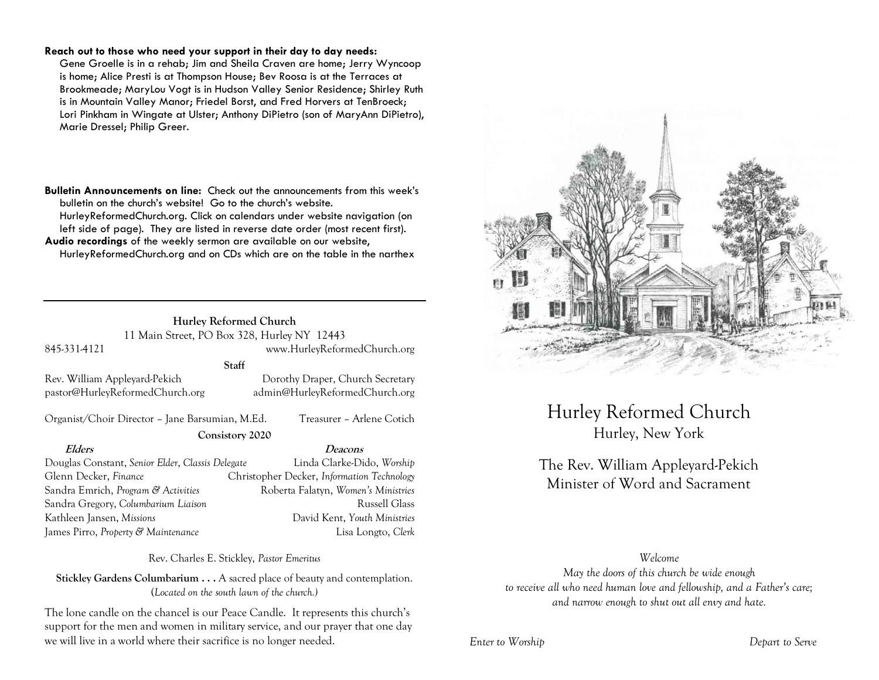#### **Reach out to those who need your support in their day to day needs:**

Gene Groelle is in a rehab; Jim and Sheila Craven are home; Jerry Wyncoop is home; Alice Presti is at Thompson House; Bev Roosa is at the Terraces at Brookmeade; MaryLou Vogt is in Hudson Valley Senior Residence; Shirley Ruth is in Mountain Valley Manor; Friedel Borst, and Fred Horvers at TenBroeck; Lori Pinkham in Wingate at Ulster; Anthony DiPietro (son of MaryAnn DiPietro), Marie Dressel; Philip Greer.

**Bulletin Announcements on line:** Check out the announcements from this week's bulletin on the church's website! Go to the church's website. HurleyReformedChurch.org. Click on calendars under website navigation (on left side of page). They are listed in reverse date order (most recent first). **Audio recordings** of the weekly sermon are available on our website, HurleyReformedChurch.org and on CDs which are on the table in the narthex

### **Hurley Reformed Church** 11 Main Street, PO Box 328, Hurley NY 12443

845-331-4121 www.HurleyReformedChurch.org

### **Staff**

Rev. William Appleyard-Pekich Dorothy Draper, Church Secretary pastor@HurleyReformedChurch.org admin@HurleyReformedChurch.org

Organist/Choir Director – Jane Barsumian, M.Ed. Treasurer – Arlene Cotich

#### **Consistory 2020**

**Elders Deacons** Douglas Constant, *Senior Elder*, *Classis Delegate* Linda Clarke-Dido, *Worship* Glenn Decker, *Finance* Christopher Decker, *Information Technology* Sandra Emrich, *Program & Activities* Roberta Falatyn, *Women's Ministries* Sandra Gregory, *Columbarium Liaison* and a second proposed Russell Glass Kathleen Jansen, *Missions* David Kent, *Youth Ministries* James Pirro, *Property & Maintenance* Lisa Longto, *Clerk*

Rev. Charles E. Stickley, *Pastor Emeritus*

**Stickley Gardens Columbarium . . .** A sacred place of beauty and contemplation. (*Located on the south lawn of the church.)* 

The lone candle on the chancel is our Peace Candle. It represents this church's support for the men and women in military service, and our prayer that one day we will live in a world where their sacrifice is no longer needed.



# Hurley Reformed Church Hurley, New York

# The Rev. William Appleyard-Pekich Minister of Word and Sacrament

### *Welcome*

*May the doors of this church be wide enough to receive all who need human love and fellowship, and a Father's care; and narrow enough to shut out all envy and hate.*

*Enter to Worship Depart to Serve*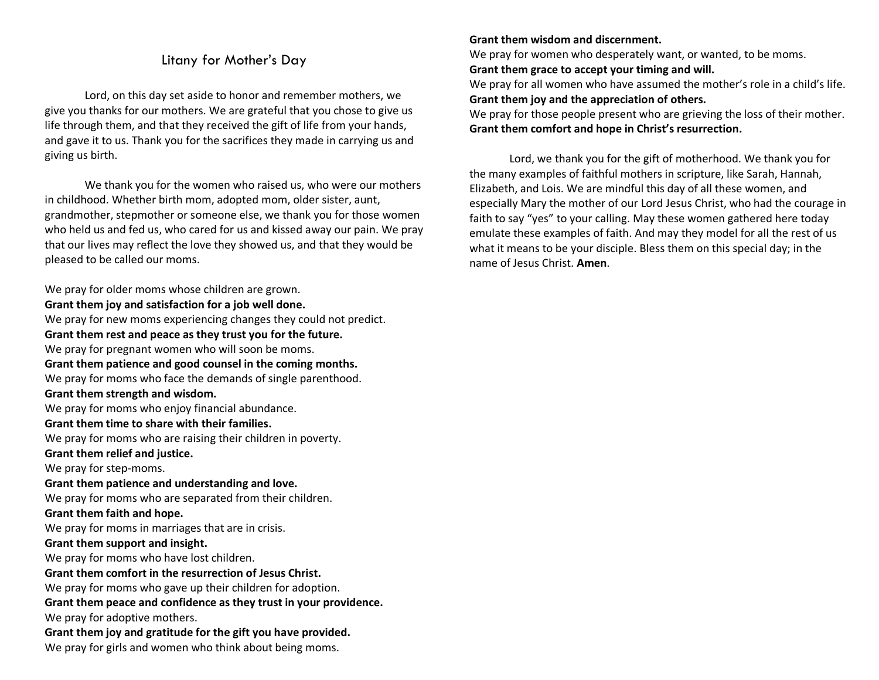### Litany for Mother's Day

Lord, on this day set aside to honor and remember mothers, we give you thanks for our mothers. We are grateful that you chose to give us life through them, and that they received the gift of life from your hands, and gave it to us. Thank you for the sacrifices they made in carrying us and giving us birth.

We thank you for the women who raised us, who were our mothers in childhood. Whether birth mom, adopted mom, older sister, aunt, grandmother, stepmother or someone else, we thank you for those women who held us and fed us, who cared for us and kissed away our pain. We pray that our lives may reflect the love they showed us, and that they would be pleased to be called our moms.

We pray for older moms whose children are grown. **Grant them joy and satisfaction for a job well done.**

We pray for new moms experiencing changes they could not predict. **Grant them rest and peace as they trust you for the future.** We pray for pregnant women who will soon be moms. **Grant them patience and good counsel in the coming months.**  We pray for moms who face the demands of single parenthood. **Grant them strength and wisdom.** We pray for moms who enjoy financial abundance. **Grant them time to share with their families.** We pray for moms who are raising their children in poverty. **Grant them relief and justice.** We pray for step-moms. **Grant them patience and understanding and love.** We pray for moms who are separated from their children. **Grant them faith and hope.** We pray for moms in marriages that are in crisis. **Grant them support and insight.** We pray for moms who have lost children. **Grant them comfort in the resurrection of Jesus Christ.** We pray for moms who gave up their children for adoption. **Grant them peace and confidence as they trust in your providence.** We pray for adoptive mothers. **Grant them joy and gratitude for the gift you have provided.** We pray for girls and women who think about being moms.

### **Grant them wisdom and discernment.**

We pray for women who desperately want, or wanted, to be moms.

**Grant them grace to accept your timing and will.**

We pray for all women who have assumed the mother's role in a child's life. **Grant them joy and the appreciation of others.**

We pray for those people present who are grieving the loss of their mother. **Grant them comfort and hope in Christ's resurrection.**

Lord, we thank you for the gift of motherhood. We thank you for the many examples of faithful mothers in scripture, like Sarah, Hannah, Elizabeth, and Lois. We are mindful this day of all these women, and especially Mary the mother of our Lord Jesus Christ, who had the courage in faith to say "yes" to your calling. May these women gathered here today emulate these examples of faith. And may they model for all the rest of us what it means to be your disciple. Bless them on this special day; in the name of Jesus Christ. **Amen**.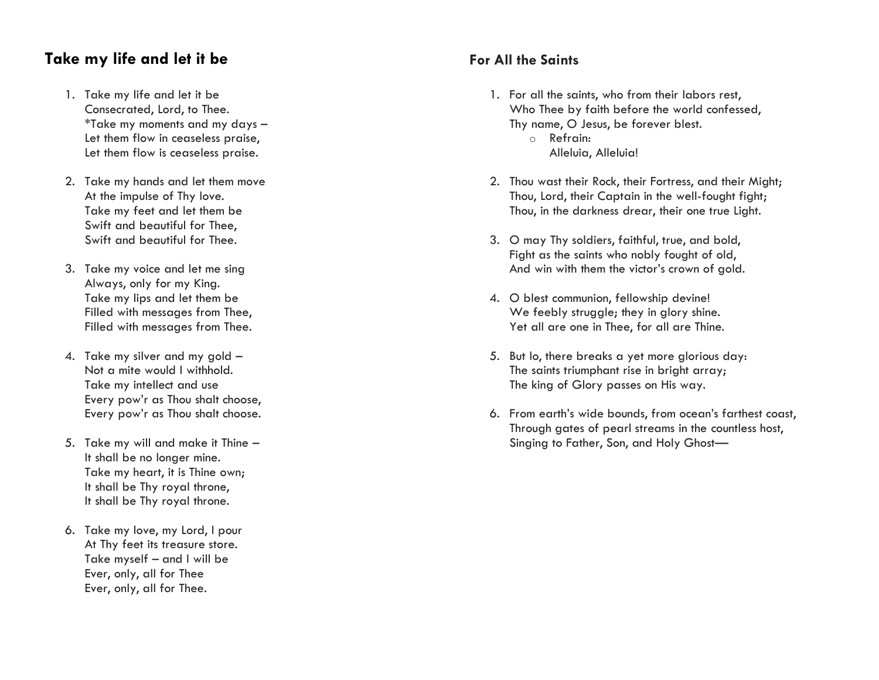# **Take my life and let it be**

- 1. Take my life and let it be Consecrated, Lord, to Thee. \*Take my moments and my days – Let them flow in ceaseless praise, Let them flow is ceaseless praise.
- 2. Take my hands and let them move At the impulse of Thy love. Take my feet and let them be Swift and beautiful for Thee, Swift and beautiful for Thee.
- 3. Take my voice and let me sing Always, only for my King. Take my lips and let them be Filled with messages from Thee, Filled with messages from Thee.
- 4. Take my silver and my gold Not a mite would I withhold. Take my intellect and use Every pow'r as Thou shalt choose, Every pow'r as Thou shalt choose.
- 5. Take my will and make it Thine It shall be no longer mine. Take my heart, it is Thine own; It shall be Thy royal throne, It shall be Thy royal throne.
- 6. Take my love, my Lord, I pour At Thy feet its treasure store. Take myself – and I will be Ever, only, all for Thee Ever, only, all for Thee.

## **For All the Saints**

- 1. For all the saints, who from their labors rest, Who Thee by faith before the world confessed, Thy name, O Jesus, be forever blest. o Refrain: Alleluia, Alleluia!
- 2. Thou wast their Rock, their Fortress, and their Might; Thou, Lord, their Captain in the well-fought fight; Thou, in the darkness drear, their one true Light.
- 3. O may Thy soldiers, faithful, true, and bold, Fight as the saints who nobly fought of old, And win with them the victor's crown of gold.
- 4. O blest communion, fellowship devine! We feebly struggle; they in glory shine. Yet all are one in Thee, for all are Thine.
- 5. But lo, there breaks a yet more glorious day: The saints triumphant rise in bright array: The king of Glory passes on His way.
- 6. From earth's wide bounds, from ocean's farthest coast, Through gates of pearl streams in the countless host, Singing to Father, Son, and Holy Ghost—